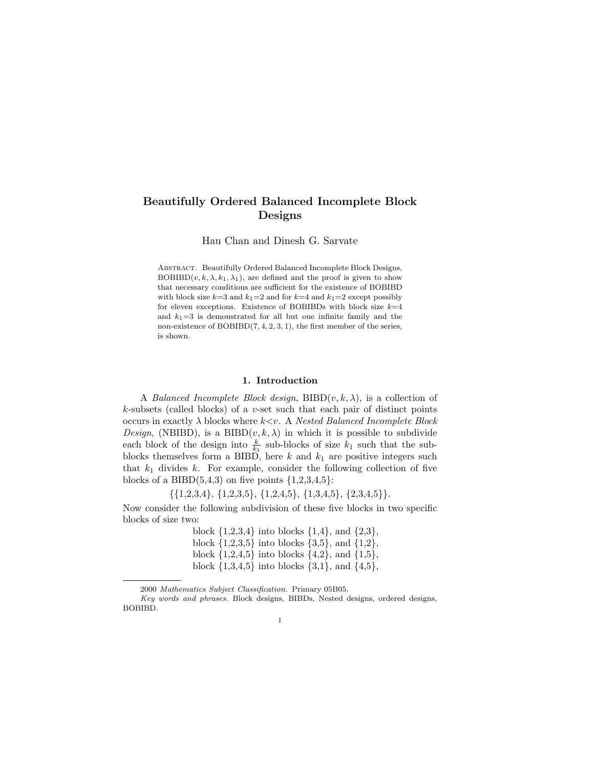# Beautifully Ordered Balanced Incomplete Block Designs

Hau Chan and Dinesh G. Sarvate

Abstract. Beautifully Ordered Balanced Incomplete Block Designs,  $BOBIBD(v, k, \lambda, k_1, \lambda_1)$ , are defined and the proof is given to show that necessary conditions are sufficient for the existence of BOBIBD with block size  $k=3$  and  $k_1=2$  and for  $k=4$  and  $k_1=2$  except possibly for eleven exceptions. Existence of BOBIBDs with block size  $k=4$ and  $k_1=3$  is demonstrated for all but one infinite family and the non-existence of BOBIBD(7, 4, 2, 3, 1), the first member of the series, is shown.

# 1. Introduction

A Balanced Incomplete Block design,  $BIBD(v, k, \lambda)$ , is a collection of  $k$ -subsets (called blocks) of a v-set such that each pair of distinct points occurs in exactly  $\lambda$  blocks where  $k \lt v$ . A *Nested Balanced Incomplete Block Design*, (NBIBD), is a BIBD $(v, k, \lambda)$  in which it is possible to subdivide each block of the design into  $\frac{k}{k_1}$  sub-blocks of size  $k_1$  such that the subblocks themselves form a BIBD, here  $k$  and  $k_1$  are positive integers such that  $k_1$  divides k. For example, consider the following collection of five blocks of a BIBD $(5,4,3)$  on five points  $\{1,2,3,4,5\}$ :

 $\{\{1,2,3,4\}, \{1,2,3,5\}, \{1,2,4,5\}, \{1,3,4,5\}, \{2,3,4,5\}\}.$ 

Now consider the following subdivision of these five blocks in two specific blocks of size two:

> block  $\{1,2,3,4\}$  into blocks  $\{1,4\}$ , and  $\{2,3\}$ , block  $\{1,2,3,5\}$  into blocks  $\{3,5\}$ , and  $\{1,2\}$ , block  $\{1,2,4,5\}$  into blocks  $\{4,2\}$ , and  $\{1,5\}$ , block  $\{1,3,4,5\}$  into blocks  $\{3,1\}$ , and  $\{4,5\}$ ,

<sup>2000</sup> Mathematics Subject Classification. Primary 05B05.

Key words and phrases. Block designs, BIBDs, Nested designs, ordered designs, BOBIBD.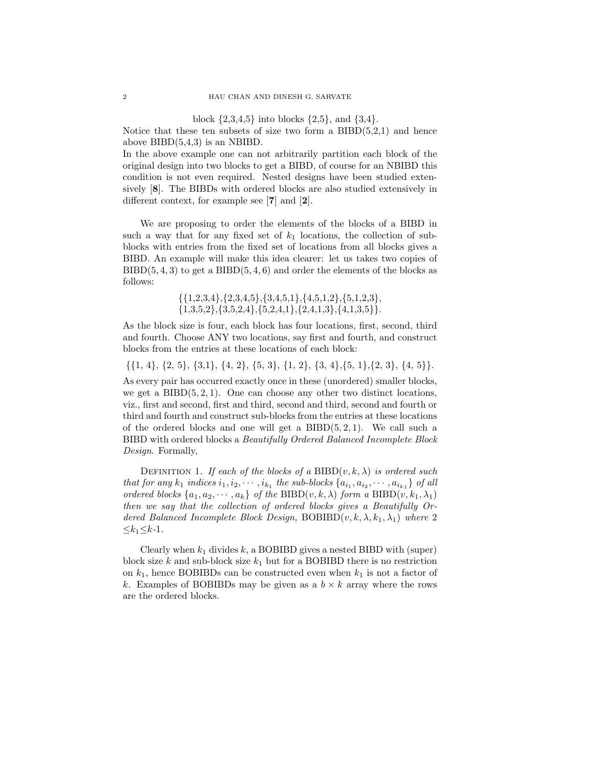block  $\{2,3,4,5\}$  into blocks  $\{2,5\}$ , and  $\{3,4\}$ .

Notice that these ten subsets of size two form a  $BIBD(5,2,1)$  and hence above  $BIBD(5,4,3)$  is an NBIBD.

In the above example one can not arbitrarily partition each block of the original design into two blocks to get a BIBD, of course for an NBIBD this condition is not even required. Nested designs have been studied extensively [8]. The BIBDs with ordered blocks are also studied extensively in different context, for example see [7] and [2].

We are proposing to order the elements of the blocks of a BIBD in such a way that for any fixed set of  $k_1$  locations, the collection of subblocks with entries from the fixed set of locations from all blocks gives a BIBD. An example will make this idea clearer: let us takes two copies of  $BIBD(5, 4, 3)$  to get a  $BIBD(5, 4, 6)$  and order the elements of the blocks as follows:

> $\{\{1,2,3,4\},\{2,3,4,5\},\{3,4,5,1\},\{4,5,1,2\},\{5,1,2,3\},\$  ${1,3,5,2}, {3,5,2,4}, {5,2,4,1}, {2,4,1,3}, {4,1,3,5}.$

As the block size is four, each block has four locations, first, second, third and fourth. Choose ANY two locations, say first and fourth, and construct blocks from the entries at these locations of each block:

 $\{\{1, 4\}, \{2, 5\}, \{3, 1\}, \{4, 2\}, \{5, 3\}, \{1, 2\}, \{3, 4\}, \{5, 1\}, \{2, 3\}, \{4, 5\}\}.$ 

As every pair has occurred exactly once in these (unordered) smaller blocks, we get a  $BIBD(5, 2, 1)$ . One can choose any other two distinct locations, viz., first and second, first and third, second and third, second and fourth or third and fourth and construct sub-blocks from the entries at these locations of the ordered blocks and one will get a  $BIBD(5, 2, 1)$ . We call such a BIBD with ordered blocks a Beautifully Ordered Balanced Incomplete Block Design. Formally,

DEFINITION 1. If each of the blocks of a BIBD $(v, k, \lambda)$  is ordered such that for any  $k_1$  indices  $i_1, i_2, \cdots, i_{k_1}$  the sub-blocks  $\{a_{i_1}, a_{i_2}, \cdots, a_{i_{k_1}}\}$  of all ordered blocks  $\{a_1, a_2, \dots, a_k\}$  of the BIBD $(v, k, \lambda)$  form a BIBD $(v, k_1, \lambda_1)$ then we say that the collection of ordered blocks gives a Beautifully Ordered Balanced Incomplete Block Design,  $BOBIBD(v, k, \lambda, k_1, \lambda_1)$  where 2  $\leq k_1 \leq k-1$ .

Clearly when  $k_1$  divides  $k$ , a BOBIBD gives a nested BIBD with (super) block size k and sub-block size  $k_1$  but for a BOBIBD there is no restriction on  $k_1$ , hence BOBIBDs can be constructed even when  $k_1$  is not a factor of k. Examples of BOBIBDs may be given as a  $b \times k$  array where the rows are the ordered blocks.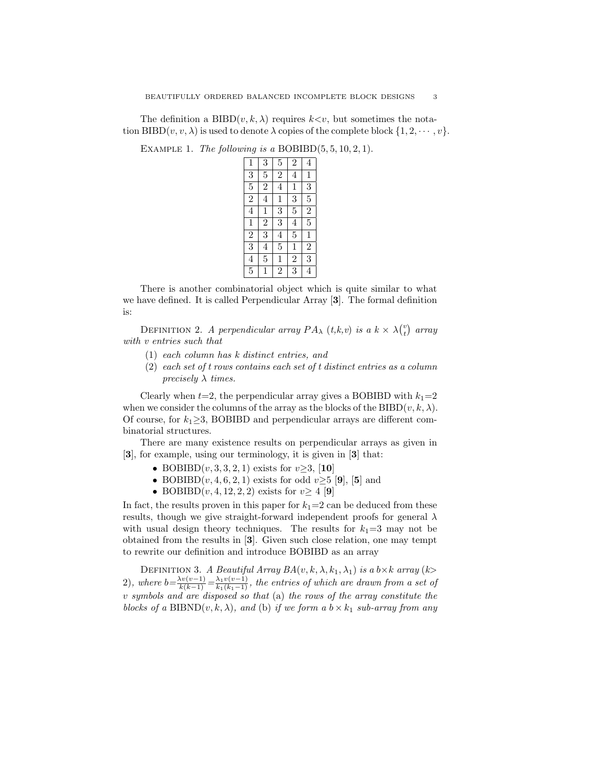The definition a BIBD $(v, k, \lambda)$  requires  $k \lt v$ , but sometimes the notation  $BIBD(v, v, \lambda)$  is used to denote  $\lambda$  copies of the complete block  $\{1, 2, \dots, v\}$ .

EXAMPLE 1. The following is a BOBIBD $(5, 5, 10, 2, 1)$ .

| 1              | 3              | 5              | $\overline{2}$ | 4              |
|----------------|----------------|----------------|----------------|----------------|
| $\overline{3}$ | $\overline{5}$ | $\overline{2}$ | 4              | $\mathbf{1}$   |
| $\overline{5}$ | $\overline{2}$ | 4              | $\mathbf{1}$   | $\overline{3}$ |
| $\overline{2}$ | 4              | 1              | 3              | $\overline{5}$ |
| 4              | 1              | $\overline{3}$ | $\overline{5}$ | $\overline{2}$ |
| $\mathbf 1$    | $\overline{2}$ | $\overline{3}$ | 4              | $\overline{5}$ |
| $\overline{2}$ | $\overline{3}$ | 4              | 5              | $\mathbf{1}$   |
| $\overline{3}$ | $\overline{4}$ | $\overline{5}$ | $\mathbf{1}$   | $\overline{2}$ |
| $\overline{4}$ | $\overline{5}$ | 1              | $\overline{2}$ | $\overline{3}$ |
| $\overline{5}$ |                | $\overline{2}$ | 3              | 4              |

There is another combinatorial object which is quite similar to what we have defined. It is called Perpendicular Array [3]. The formal definition is:

DEFINITION 2. A perpendicular array  $PA_{\lambda} (t, k, v)$  is a  $k \times \lambda \binom{v}{t}$  array with v entries such that

- (1) each column has k distinct entries, and
- (2) each set of t rows contains each set of t distinct entries as a column precisely  $\lambda$  times.

Clearly when  $t=2$ , the perpendicular array gives a BOBIBD with  $k_1=2$ when we consider the columns of the array as the blocks of the BIBD( $v, k, \lambda$ ). Of course, for  $k_1 \geq 3$ , BOBIBD and perpendicular arrays are different combinatorial structures.

There are many existence results on perpendicular arrays as given in [3], for example, using our terminology, it is given in [3] that:

- BOBIBD $(v, 3, 3, 2, 1)$  exists for  $v \ge 3$ , [10]
- BOBIBD $(v, 4, 6, 2, 1)$  exists for odd  $v \ge 5$  [9], [5] and
- BOBIBD $(v, 4, 12, 2, 2)$  exists for  $v \geq 4$  [9]

In fact, the results proven in this paper for  $k_1=2$  can be deduced from these results, though we give straight-forward independent proofs for general  $\lambda$ with usual design theory techniques. The results for  $k_1=3$  may not be obtained from the results in [3]. Given such close relation, one may tempt to rewrite our definition and introduce BOBIBD as an array

DEFINITION 3. A Beautiful Array  $BA(v, k, \lambda, k_1, \lambda_1)$  is a  $b \times k$  array  $(k>$ 2), where  $b = \frac{\lambda v(v-1)}{k(k-1)} = \frac{\lambda_1 v(v-1)}{k_1(k_1-1)}$ , the entries of which are drawn from a set of v symbols and are disposed so that (a) the rows of the array constitute the blocks of a BIBND $(v, k, \lambda)$ , and (b) if we form a  $b \times k_1$  sub-array from any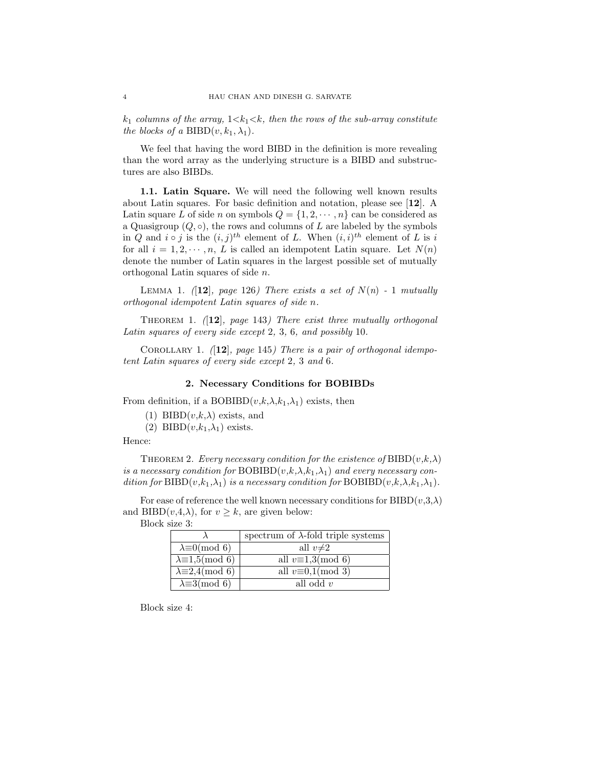$k_1$  columns of the array,  $1 \lt k_1 \lt k$ , then the rows of the sub-array constitute the blocks of a BIBD $(v, k_1, \lambda_1)$ .

We feel that having the word BIBD in the definition is more revealing than the word array as the underlying structure is a BIBD and substructures are also BIBDs.

1.1. Latin Square. We will need the following well known results about Latin squares. For basic definition and notation, please see [12]. A Latin square L of side n on symbols  $Q = \{1, 2, \dots, n\}$  can be considered as a Quasigroup  $(Q, \circ)$ , the rows and columns of L are labeled by the symbols in Q and  $i \circ j$  is the  $(i, j)^{th}$  element of L. When  $(i, i)^{th}$  element of L is i for all  $i = 1, 2, \dots, n$ , L is called an idempotent Latin square. Let  $N(n)$ denote the number of Latin squares in the largest possible set of mutually orthogonal Latin squares of side n.

LEMMA 1. (12), page 126) There exists a set of  $N(n)$  - 1 mutually orthogonal idempotent Latin squares of side n.

THEOREM 1.  $(12)$ , page 143) There exist three mutually orthogonal Latin squares of every side except 2, 3, 6, and possibly 10.

COROLLARY 1.  $(12)$ , page 145) There is a pair of orthogonal idempotent Latin squares of every side except 2, 3 and 6.

# 2. Necessary Conditions for BOBIBDs

From definition, if a BOBIBD $(v,k,\lambda,k_1,\lambda_1)$  exists, then

(1) BIBD $(v,k,\lambda)$  exists, and

(2) BIBD $(v,k_1,\lambda_1)$  exists.

#### Hence:

THEOREM 2. Every necessary condition for the existence of  $BIBD(v,k,\lambda)$ is a necessary condition for BOBIBD $(v,k,\lambda,k_1,\lambda_1)$  and every necessary condition for  $BIBD(v,k_1,\lambda_1)$  is a necessary condition for  $BOBIBD(v,k,\lambda,k_1,\lambda_1)$ .

For ease of reference the well known necessary conditions for  $BIBD(v,3,\lambda)$ and BIBD $(v, 4, \lambda)$ , for  $v \geq k$ , are given below:

|                               | spectrum of $\lambda$ -fold triple systems |
|-------------------------------|--------------------------------------------|
| $\lambda \equiv 0 \pmod{6}$   | all $v\neq 2$                              |
| $\lambda \equiv 1.5 \pmod{6}$ | all $v\equiv 1,3 \pmod{6}$                 |
| $\lambda \equiv 2,4 \pmod{6}$ | all $v \equiv 0,1 \pmod{3}$                |
| $\lambda \equiv 3 \pmod{6}$   | all odd $v$                                |

Block size 3:

Block size 4: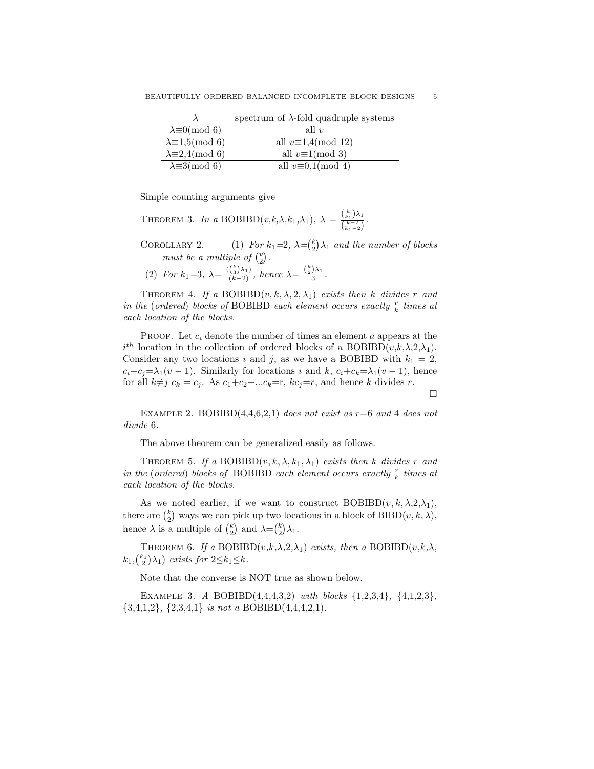|                               | spectrum of $\lambda$ -fold quadruple systems |
|-------------------------------|-----------------------------------------------|
| $\lambda \equiv 0 \pmod{6}$   | all $v$                                       |
| $\lambda \equiv 1.5 \pmod{6}$ | all $v\equiv 1,4 \pmod{12}$                   |
| $\lambda \equiv 2.4 \pmod{6}$ | all $v \equiv 1 \pmod{3}$                     |
| $\lambda \equiv 3 \pmod{6}$   | all $v \equiv 0,1 \pmod{4}$                   |

Simple counting arguments give

THEOREM 3. In a BOBIBD
$$
(v,k,\lambda,k_1,\lambda_1)
$$
,  $\lambda = \frac{{k_1 \choose k_1} \lambda_1}{{k_1 - 2 \choose k_1 - 2}}$ .

COROLLARY 2. (1) For  $k_1=2$ ,  $\lambda = \binom{k}{2}\lambda_1$  and the number of blocks must be a multiple of  $\binom{v}{2}$ .

(2) For 
$$
k_1=3
$$
,  $\lambda = \frac{(\binom{k}{3}\lambda_1)}{(k-2)}$ , hence  $\lambda = \frac{\binom{k}{2}\lambda_1}{3}$ .

THEOREM 4. If a BOBIBD $(v, k, \lambda, 2, \lambda_1)$  exists then k divides r and in the (ordered) blocks of BOBIBD each element occurs exactly  $\frac{r}{k}$  times at each location of the blocks.

PROOF. Let  $c_i$  denote the number of times an element  $a$  appears at the  $i^{th}$  location in the collection of ordered blocks of a BOBIBD $(v,k,\lambda,2,\lambda_1)$ . Consider any two locations i and j, as we have a BOBIBD with  $k_1 = 2$ ,  $c_i+c_j=\lambda_1(v-1)$ . Similarly for locations i and k,  $c_i+c_k=\lambda_1(v-1)$ , hence for all  $k \neq j$   $c_k = c_j$ . As  $c_1+c_2+\dots+c_k=r$ ,  $kc_j=r$ , and hence k divides r.

 $\Box$ 

EXAMPLE 2. BOBIBD $(4,4,6,2,1)$  does not exist as  $r=6$  and 4 does not divide 6.

The above theorem can be generalized easily as follows.

THEOREM 5. If a BOBIBD $(v, k, \lambda, k_1, \lambda_1)$  exists then k divides r and in the (ordered) blocks of BOBIBD each element occurs exactly  $\frac{r}{k}$  times at each location of the blocks.

As we noted earlier, if we want to construct  $BOBIBD(v, k, \lambda, 2, \lambda_1)$ , there are  $\binom{k}{2}$  ways we can pick up two locations in a block of BIBD( $v, k, \lambda$ ), hence  $\lambda$  is a multiple of  $\binom{k}{2}$  and  $\lambda = \binom{k}{2} \lambda_1$ .

THEOREM 6. If a BOBIBD $(v,k,\lambda,2,\lambda_1)$  exists, then a BOBIBD $(v,k,\lambda,$  $k_1, \binom{k_1}{2} \lambda_1$  exists for  $2 \leq k_1 \leq k$ .

Note that the converse is NOT true as shown below.

EXAMPLE 3. A BOBIBD $(4,4,4,3,2)$  with blocks  $\{1,2,3,4\}$ ,  $\{4,1,2,3\}$ ,  $\{3,4,1,2\}, \{2,3,4,1\}$  is not a BOBIBD(4,4,4,2,1).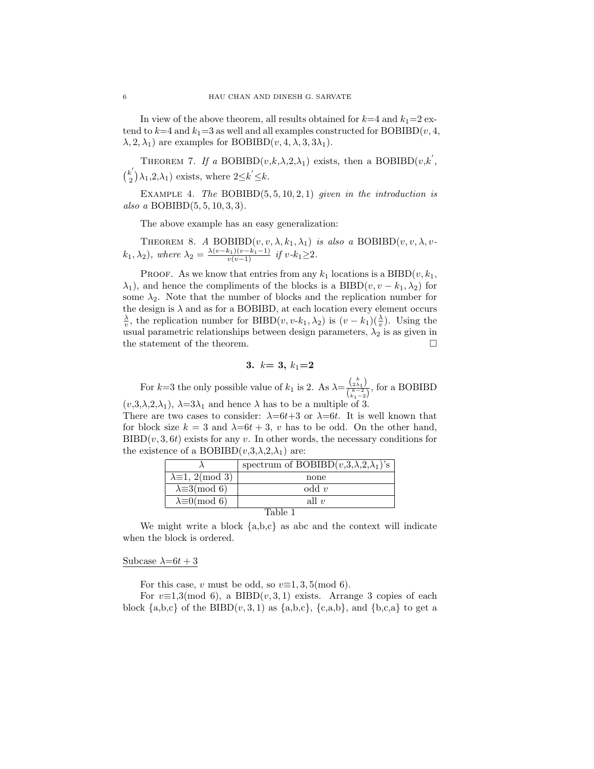In view of the above theorem, all results obtained for  $k=4$  and  $k_1=2$  extend to  $k=4$  and  $k_1=3$  as well and all examples constructed for BOBIBD(v, 4,  $\lambda$ , 2,  $\lambda$ <sub>1</sub>) are examples for BOBIBD(*v*, 4,  $\lambda$ , 3,  $3\lambda$ <sub>1</sub>).

THEOREM 7. If a BOBIBD $(v,k,\lambda,2,\lambda_1)$  exists, then a BOBIBD $(v,k',\lambda,2,\lambda_1)$  $\binom{k'}{2}$  $\mathbb{R}_{2}^{k'}$   $(\lambda_1, 2, \lambda_1)$  exists, where  $2 \leq k' \leq k$ .

EXAMPLE 4. The BOBIBD $(5, 5, 10, 2, 1)$  given in the introduction is also a BOBIBD $(5, 5, 10, 3, 3)$ .

The above example has an easy generalization:

THEOREM 8. A BOBIBD $(v, v, \lambda, k_1, \lambda_1)$  is also a BOBIBD $(v, v, \lambda, v$  $(k_1, \lambda_2)$ , where  $\lambda_2 = \frac{\lambda(v-k_1)(v-k_1-1)}{v(v-1)}$  if  $v-k_1 \geq 2$ .

PROOF. As we know that entries from any  $k_1$  locations is a BIBD $(v, k_1,$  $\lambda_1$ , and hence the compliments of the blocks is a BIBD $(v, v - k_1, \lambda_2)$  for some  $\lambda_2$ . Note that the number of blocks and the replication number for the design is  $\lambda$  and as for a BOBIBD, at each location every element occurs  $\frac{\lambda}{v}$ , the replication number for BIBD(v, v-k<sub>1</sub>,  $\lambda_2$ ) is (v – k<sub>1</sub>)( $\frac{\lambda}{v}$ ). Using the usual parametric relationships between design parameters,  $\lambda_2$  is as given in the statement of the theorem.

$$
3. \ \ k=3, \ k_1{=}2
$$

For k=3 the only possible value of  $k_1$  is 2. As  $\lambda = \frac{\binom{k}{2\lambda_1}}{\binom{k-2}{2\lambda_1}}$  $\frac{\binom{2\lambda_1}{k-2}}{\binom{k-2}{k_1-2}}$ , for a BOBIBD  $(v,3,\lambda,2,\lambda_1), \lambda=3\lambda_1$  and hence  $\lambda$  has to be a multiple of 3.

There are two cases to consider:  $\lambda=6t+3$  or  $\lambda=6t$ . It is well known that for block size  $k = 3$  and  $\lambda = 6t + 3$ , v has to be odd. On the other hand,  $BIBD(v, 3, 6t)$  exists for any v. In other words, the necessary conditions for the existence of a BOBIBD $(v,3,\lambda,2,\lambda_1)$  are:

|                                        | spectrum of BOBIBD $(v,3,\lambda,2,\lambda_1)$ 's |  |  |  |  |  |  |  |
|----------------------------------------|---------------------------------------------------|--|--|--|--|--|--|--|
| $\lambda \equiv 1, 2 \pmod{3}$         | none                                              |  |  |  |  |  |  |  |
| $\lambda \equiv 3 \pmod{6}$            | $odd$ v                                           |  |  |  |  |  |  |  |
| $\lambda \equiv 0 \pmod{6}$<br>all $v$ |                                                   |  |  |  |  |  |  |  |
|                                        |                                                   |  |  |  |  |  |  |  |

We might write a block  $\{a,b,c\}$  as abc and the context will indicate when the block is ordered.

# Subcase  $\lambda=6t+3$

For this case, v must be odd, so  $v\equiv 1, 3, 5 \pmod{6}$ .

For  $v\equiv 1,3 \pmod{6}$ , a BIBD $(v, 3, 1)$  exists. Arrange 3 copies of each block  $\{a,b,c\}$  of the BIBD $(v,3,1)$  as  $\{a,b,c\}$ ,  $\{c,a,b\}$ , and  $\{b,c,a\}$  to get a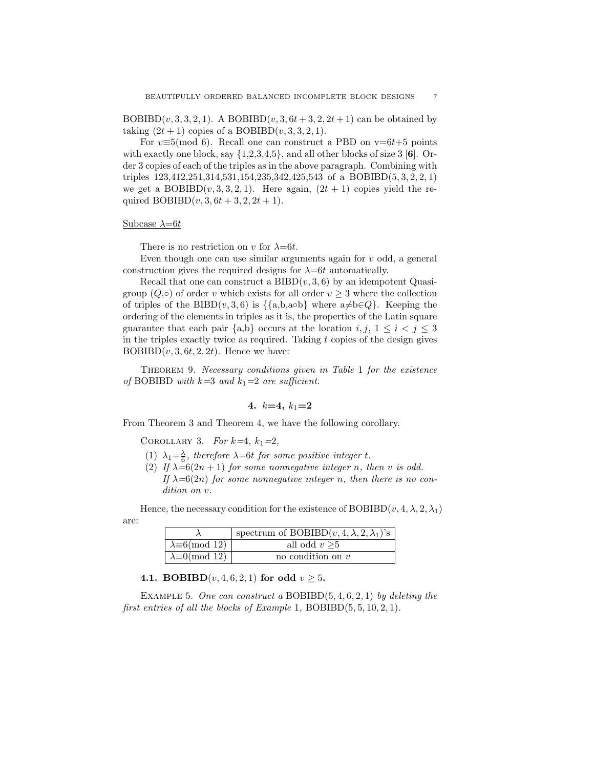BOBIBD(v, 3, 3, 2, 1). A BOBIBD(v, 3, 6t + 3, 2, 2t + 1) can be obtained by taking  $(2t + 1)$  copies of a BOBIBD $(v, 3, 3, 2, 1)$ .

For  $v \equiv 5 \pmod{6}$ . Recall one can construct a PBD on  $v = 6t+5$  points with exactly one block, say  $\{1,2,3,4,5\}$ , and all other blocks of size 3 [6]. Order 3 copies of each of the triples as in the above paragraph. Combining with triples 123,412,251,314,531,154,235,342,425,543 of a BOBIBD(5, 3, 2, 2, 1) we get a  $BOBIBD(v, 3, 3, 2, 1)$ . Here again,  $(2t + 1)$  copies yield the required  $BOBIBD(v, 3, 6t + 3, 2, 2t + 1)$ .

# Subcase  $\lambda=6t$

There is no restriction on v for  $\lambda=6t$ .

Even though one can use similar arguments again for  $v$  odd, a general construction gives the required designs for  $\lambda=6t$  automatically.

Recall that one can construct a  $BIBD(v, 3, 6)$  by an idempotent Quasigroup  $(Q, \circ)$  of order v which exists for all order  $v \geq 3$  where the collection of triples of the BIBD(v, 3, 6) is  $\{\{a,b, a\circ b\}$  where  $a \neq b \in Q\}$ . Keeping the ordering of the elements in triples as it is, the properties of the Latin square guarantee that each pair  $\{a,b\}$  occurs at the location  $i, j, 1 \leq i < j \leq 3$ in the triples exactly twice as required. Taking  $t$  copies of the design gives  $BOBIBD(v, 3, 6t, 2, 2t)$ . Hence we have:

Theorem 9. Necessary conditions given in Table 1 for the existence of BOBIBD with  $k=3$  and  $k_1=2$  are sufficient.

4. 
$$
k=4, k_1=2
$$

From Theorem 3 and Theorem 4, we have the following corollary.

COROLLARY 3. For  $k=4$ ,  $k_1=2$ ,

- (1)  $\lambda_1 = \frac{\lambda}{6}$ , therefore  $\lambda = 6t$  for some positive integer t.
- (2) If  $\lambda=6(2n+1)$  for some nonnegative integer n, then v is odd. If  $\lambda=6(2n)$  for some nonnegative integer n, then there is no condition on v.

Hence, the necessary condition for the existence of BOBIBD $(v, 4, \lambda, 2, \lambda_1)$ are:

|                              | spectrum of BOBIBD $(v, 4, \lambda, 2, \lambda_1)$ 's |
|------------------------------|-------------------------------------------------------|
| $\lambda \equiv 6 \pmod{12}$ | all odd $v > 5$                                       |
| $\lambda \equiv 0 \pmod{12}$ | no condition on $v$                                   |

4.1. **BOBIBD** $(v, 4, 6, 2, 1)$  for odd  $v \ge 5$ .

EXAMPLE 5. One can construct a BOBIBD $(5, 4, 6, 2, 1)$  by deleting the first entries of all the blocks of Example 1, BOBIBD $(5, 5, 10, 2, 1)$ .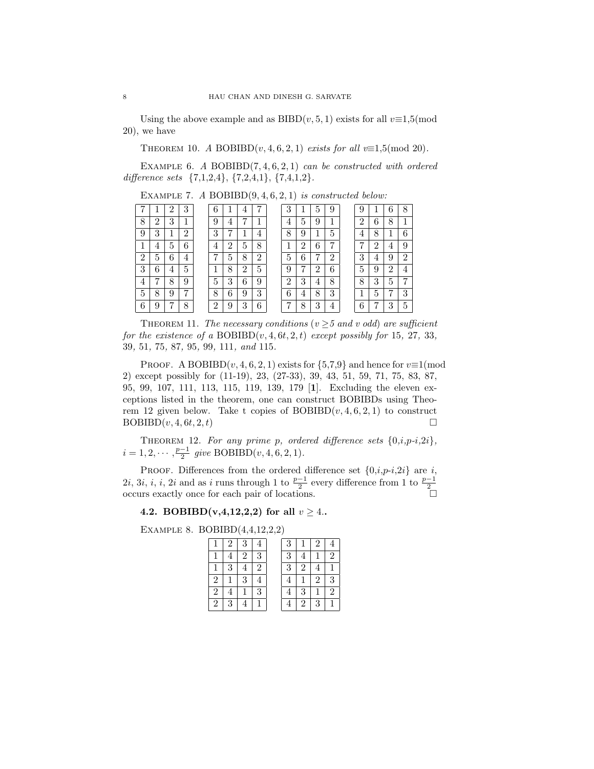Using the above example and as BIBD $(v, 5, 1)$  exists for all  $v \equiv 1.5 \pmod{10}$ 20), we have

THEOREM 10. A BOBIBD $(v, 4, 6, 2, 1)$  exists for all  $v \equiv 1.5 \pmod{20}$ .

EXAMPLE 6. A BOBIBD $(7, 4, 6, 2, 1)$  can be constructed with ordered difference sets  $\{7,1,2,4\}$ ,  $\{7,2,4,1\}$ ,  $\{7,4,1,2\}$ .

| −              |          | ົ  | 3              | 6      |        |   |                | 3 |                | 5 | 9       |   |   | ↷            | Q  |
|----------------|----------|----|----------------|--------|--------|---|----------------|---|----------------|---|---------|---|---|--------------|----|
| 8              | $\Omega$ | 3  |                | 9      | 4      | ⇁ |                | 4 | 5              | 9 |         | ച | 6 | 8            |    |
| 9              | 3        |    | $\overline{2}$ | 3      | די     |   | $\overline{4}$ | 8 | 9              |   | ►<br>h, |   | 8 |              | G. |
| 1              | 4        | 5. | 6              | 4      | റ<br>∠ | 5 | 8              |   | റ              | 6 | ⇁       | ⇁ | റ | $\mathbf{F}$ | Q  |
| $\overline{2}$ | 5        | 6  | 4              | 7      | 5      | 8 | 2              | 5 | 6              | 7 | റ       | 3 | 4 | 9            | ച  |
| 3              | 6        | 4  | 5.             | 1      | 8      | റ | 5              | 9 | 7              | ച | 6       | 5 | 9 | ച            |    |
| 4              | −        | 8  | 9              | 5      | 3      | 6 | 9              | 2 | 3              | 4 | 8       | 8 | 3 | 5            | 7  |
| 5              | 8        | 9  | $\overline{ }$ | 8      | 6      | 9 | 3              | 6 | $\overline{4}$ | 8 | 3       |   | 5 | ,            | 2  |
| 6              | 9        | 7  | 8              | റ<br>∠ | 9      | 3 | 6              | ד | 8              | 3 | 4       | 6 | ⇁ | 9<br>. .     | 5  |

EXAMPLE 7. A BOBIBD $(9, 4, 6, 2, 1)$  is constructed below:

THEOREM 11. The necessary conditions ( $v \geq 5$  and v odd) are sufficient for the existence of a  $BOBIBD(v, 4, 6t, 2, t)$  except possibly for 15, 27, 33, , 51, 75, 87, 95, 99, 111, and 115.

PROOF. A BOBIBD $(v, 4, 6, 2, 1)$  exists for  $\{5, 7, 9\}$  and hence for  $v \equiv 1 \pmod{10}$ 2) except possibly for (11-19), 23, (27-33), 39, 43, 51, 59, 71, 75, 83, 87, 95, 99, 107, 111, 113, 115, 119, 139, 179 [1]. Excluding the eleven exceptions listed in the theorem, one can construct BOBIBDs using Theorem 12 given below. Take t copies of  $BOBIBD(v, 4, 6, 2, 1)$  to construct  $BOBIBD(v, 4, 6t, 2, t)$ 

THEOREM 12. For any prime p, ordered difference sets  $\{0,i,p-i,2i\}$ ,  $i = 1, 2, \cdots, \frac{p-1}{2}$  give BOBIBD(v, 4, 6, 2, 1).

PROOF. Differences from the ordered difference set  $\{0,i,p-i,2i\}$  are i, 2*i*, 3*i*, *i*, *i*, 2*i* and as *i* runs through 1 to  $\frac{p-1}{2}$  every difference from 1 to  $\frac{p-1}{2}$  occurs exactly once for each pair of locations. □

4.2. BOBIBD(v,4,12,2,2) for all  $v \ge 4$ .

Example 8. BOBIBD(4,4,12,2,2)

|   | $\mathbf{2}$ | 3 |           | 3 |   | 2 |   |
|---|--------------|---|-----------|---|---|---|---|
|   |              | 2 | 3         | 3 |   |   | 2 |
|   | 3            |   | $\dot{2}$ | 3 | 2 |   |   |
| 2 |              | 3 |           |   |   | 2 | 3 |
| 2 |              |   | 3         |   | 3 |   | 2 |
| 2 | 3            |   |           |   | 2 | 3 |   |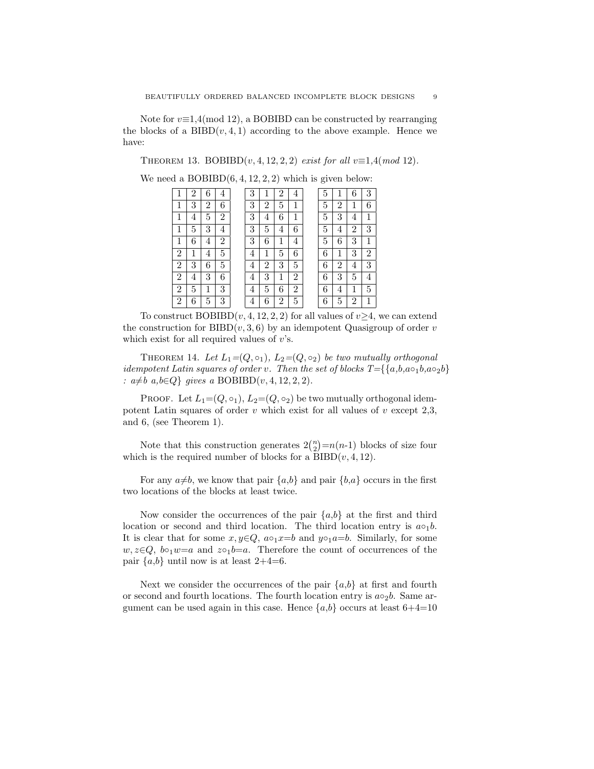Note for  $v \equiv 1.4 \pmod{12}$ , a BOBIBD can be constructed by rearranging the blocks of a  $BIBD(v, 4, 1)$  according to the above example. Hence we have:

THEOREM 13. BOBIBD $(v, 4, 12, 2, 2)$  exist for all  $v \equiv 1, 4 \pmod{12}$ .

We need a  $BOBIBD(6, 4, 12, 2, 2)$  which is given below:

|                | 2 | 6 | 4              | 3 |   | 2 | 4 | 5 |                |   | 3              |
|----------------|---|---|----------------|---|---|---|---|---|----------------|---|----------------|
|                | 3 | 2 | 6              | 3 | 2 | 5 | 1 | 5 | $\overline{2}$ |   | 6              |
| 1              | 4 | 5 | $\overline{2}$ | 3 | 4 | 6 | 1 | 5 | 3              | 4 |                |
|                | 5 | 3 | 4              | 3 | 5 | 4 | 6 | 5 | 4              | 2 | 3              |
|                | 6 | 4 | $\overline{2}$ | 3 | 6 |   | 4 | 5 | 6              | 3 |                |
| $\overline{2}$ |   | 4 | 5              | 4 | 1 | 5 | 6 | 6 | 1              | 3 | $\overline{2}$ |
| $\overline{2}$ | 3 | 6 | 5              | 4 | 2 | 3 | 5 | 6 | $\overline{2}$ | 4 | 3              |
| 2              | 4 | 3 | 6              | 4 | 3 | 1 | 2 | 6 | 3              | 5 | 4              |
| 2              | 5 |   | 3              | 4 | 5 | 6 | 2 | 6 | 4              |   | 5              |
| 2              | 6 | 5 | 3              | 4 | 6 | 2 | 5 | 6 | 5              | 2 |                |

To construct  $BOBIBD(v, 4, 12, 2, 2)$  for all values of  $v \geq 4$ , we can extend the construction for BIBD $(v, 3, 6)$  by an idempotent Quasigroup of order v which exist for all required values of  $v$ 's.

THEOREM 14. Let  $L_1=(Q,\circ_1), L_2=(Q,\circ_2)$  be two mutually orthogonal idempotent Latin squares of order v. Then the set of blocks  $T=\{a,b,a \circ_1 b, a \circ_2 b\}$ :  $a \neq b$  a,  $b \in Q$  gives a BOBIBD(v, 4, 12, 2, 2).

PROOF. Let  $L_1=(Q, \circ_1), L_2=(Q, \circ_2)$  be two mutually orthogonal idempotent Latin squares of order  $v$  which exist for all values of  $v$  except 2,3, and 6, (see Theorem 1).

Note that this construction generates  $2\binom{n}{2} = n(n-1)$  blocks of size four which is the required number of blocks for a  $BIBD(v, 4, 12)$ .

For any  $a\neq b$ , we know that pair  $\{a,b\}$  and pair  $\{b,a\}$  occurs in the first two locations of the blocks at least twice.

Now consider the occurrences of the pair  ${a,b}$  at the first and third location or second and third location. The third location entry is  $a \circ_1 b$ . It is clear that for some  $x, y \in Q$ ,  $a \circ_1 x = b$  and  $y \circ_1 a = b$ . Similarly, for some  $w, z \in Q$ ,  $b \circ_1 w = a$  and  $z \circ_1 b = a$ . Therefore the count of occurrences of the pair  $\{a,b\}$  until now is at least 2+4=6.

Next we consider the occurrences of the pair  ${a,b}$  at first and fourth or second and fourth locations. The fourth location entry is  $a \circ_2 b$ . Same argument can be used again in this case. Hence  $\{a,b\}$  occurs at least  $6+4=10$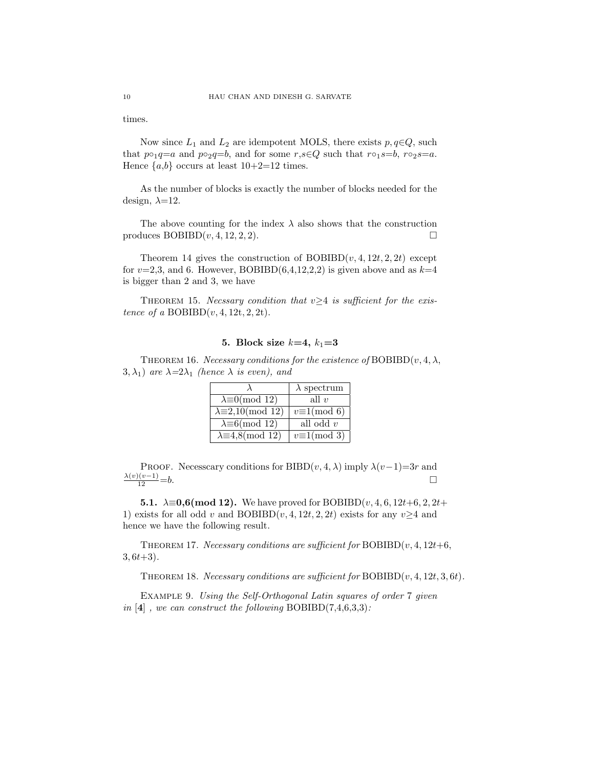times.

Now since  $L_1$  and  $L_2$  are idempotent MOLS, there exists  $p, q \in Q$ , such that  $p \circ_1 q = a$  and  $p \circ_2 q = b$ , and for some  $r, s \in Q$  such that  $r \circ_1 s = b$ ,  $r \circ_2 s = a$ . Hence  $\{a,b\}$  occurs at least  $10+2=12$  times.

As the number of blocks is exactly the number of blocks needed for the design,  $\lambda=12$ .

The above counting for the index  $\lambda$  also shows that the construction produces  $BOBIBD(v, 4, 12, 2, 2)$ .

Theorem 14 gives the construction of  $BOBIBD(v, 4, 12t, 2, 2t)$  except for  $v=2,3$ , and 6. However, BOBIBD(6,4,12,2,2) is given above and as  $k=4$ is bigger than 2 and 3, we have

THEOREM 15. Necssary condition that  $v \geq 4$  is sufficient for the existence of a  $BOBIBD(v, 4, 12t, 2, 2t)$ .

# 5. Block size  $k=4, k_1=3$

THEOREM 16. Necessary conditions for the existence of BOBIBD $(v, 4, \lambda,$ 3,  $\lambda_1$ ) are  $\lambda = 2\lambda_1$  (hence  $\lambda$  is even), and

|                                 | $\lambda$ spectrum    |
|---------------------------------|-----------------------|
| $\lambda \equiv 0 \pmod{12}$    | all $v$               |
| $\lambda \equiv 2,10 \pmod{12}$ | $v \equiv 1 \pmod{6}$ |
| $\lambda \equiv 6 \pmod{12}$    | all odd $v$           |
| $\lambda \equiv 4.8 \pmod{12}$  | $v \equiv 1 \pmod{3}$ |

PROOF. Necesscary conditions for BIBD $(v, 4, \lambda)$  imply  $\lambda(v-1)=3r$  and  $\frac{\lambda(v)(v-1)}{12} = b.$ 

5.1.  $\lambda \equiv 0.6 \pmod{12}$ . We have proved for BOBIBD(*v*, 4, 6, 12*t*+6, 2, 2*t*+ 1) exists for all odd v and BOBIBD(v, 4, 12t, 2, 2t) exists for any v $\geq 4$  and hence we have the following result.

THEOREM 17. Necessary conditions are sufficient for  $BOBIBD(v, 4, 12t+6,$  $3, 6t+3$ .

THEOREM 18. Necessary conditions are sufficient for  $BOBIBD(v, 4, 12t, 3, 6t)$ .

Example 9. Using the Self-Orthogonal Latin squares of order 7 given in [4], we can construct the following BOBIBD(7,4,6,3,3):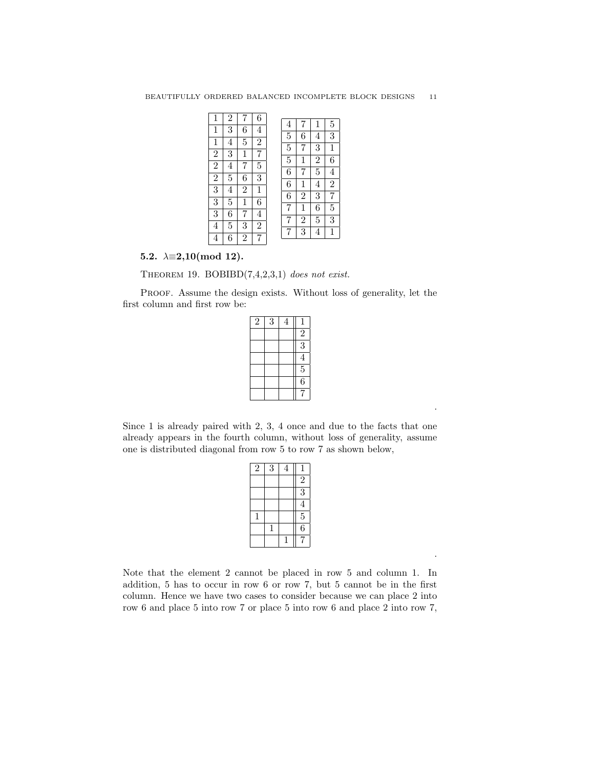| $\mathbf 1$    | $\overline{2}$ | 7              | 6              |                |                |                |                  |
|----------------|----------------|----------------|----------------|----------------|----------------|----------------|------------------|
| $\mathbf 1$    | 3              | 6              | 4              | 4              | 7              | 1              | 5                |
|                |                |                |                | $\overline{5}$ | 6              | $\overline{4}$ | 3                |
| $\mathbf 1$    | $\overline{4}$ | 5              | $\overline{2}$ | $\overline{5}$ | 7              | 3              | $\mathbf 1$      |
| $\overline{2}$ | 3              | $\mathbf 1$    | 7              |                |                |                |                  |
|                |                |                |                | 5              | $\mathbf 1$    | $\overline{2}$ | 6                |
| $\overline{2}$ | 4              | 7              | 5              | 6              | 7              | $\overline{5}$ | $\overline{4}$   |
| $\overline{2}$ | 5              | 6              | 3              |                |                |                |                  |
| $\overline{3}$ | 4              | $\overline{2}$ | 1              | 6              | 1              | 4              | $\bar{2}$        |
|                |                |                |                | 6              | $\overline{2}$ | 3              | 7                |
| $\overline{3}$ | 5              | $\mathbf 1$    | 6              | 7              | $\mathbf 1$    | 6              | $\overline{5}$   |
| $\overline{3}$ | 6              | 7              | 4              |                |                |                |                  |
| 4              | 5              | 3              | 2              | 7              | $\overline{2}$ | 5              | $\boldsymbol{3}$ |
|                |                |                |                | 7              | 3              | 4              | $\mathbf{1}$     |
| 4              | 6              | $\overline{2}$ | 7              |                |                |                |                  |

5.2.  $\lambda \equiv 2,10 \pmod{12}$ .

THEOREM 19. BOBIBD $(7,4,2,3,1)$  does not exist.

PROOF. Assume the design exists. Without loss of generality, let the first column and first row be:

| $\overline{2}$ | 3 | 4 | 1              |
|----------------|---|---|----------------|
|                |   |   | $\overline{c}$ |
|                |   |   | $\overline{3}$ |
|                |   |   | $\overline{4}$ |
|                |   |   | $\overline{5}$ |
|                |   |   | $\overline{6}$ |
|                |   |   | 7              |

Since 1 is already paired with 2, 3, 4 once and due to the facts that one already appears in the fourth column, without loss of generality, assume one is distributed diagonal from row 5 to row 7 as shown below,

.

.

|   | 4 | 1                       |
|---|---|-------------------------|
|   |   | $\bar{2}$               |
|   |   | $\overline{3}$          |
|   |   | $\overline{\mathbf{4}}$ |
|   |   | $\overline{5}$          |
| 1 |   | $\overline{6}$          |
|   | 1 |                         |
|   | 3 |                         |

Note that the element 2 cannot be placed in row 5 and column 1. In addition, 5 has to occur in row 6 or row 7, but 5 cannot be in the first column. Hence we have two cases to consider because we can place 2 into row 6 and place 5 into row 7 or place 5 into row 6 and place 2 into row 7,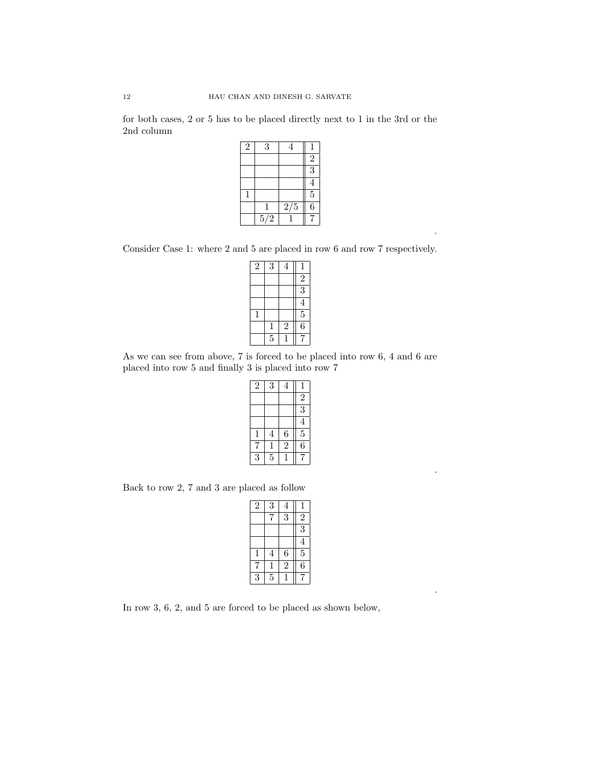for both cases, 2 or 5 has to be placed directly next to 1 in the 3rd or the 2nd column

| $\overline{2}$ | 3   | 4   |                         |
|----------------|-----|-----|-------------------------|
|                |     |     | $\overline{c}$          |
|                |     |     | $\overline{3}$          |
|                |     |     | $\overline{\mathbf{4}}$ |
| 1              |     |     | $\overline{5}$          |
|                |     | 2/5 | $\overline{6}$          |
|                | 5/2 |     |                         |

Consider Case 1: where 2 and 5 are placed in row 6 and row 7 respectively.

.

.

.

| $\overline{2}$ | 3         | 4              | $\mathbf{1}$   |
|----------------|-----------|----------------|----------------|
|                |           |                | $\overline{2}$ |
|                |           |                | $\overline{3}$ |
|                |           |                | $\overline{4}$ |
| 1              |           |                | $rac{5}{6}$    |
|                | 1         | $\overline{2}$ |                |
|                | $\bar{5}$ |                |                |

As we can see from above, 7 is forced to be placed into row 6, 4 and 6 are placed into row 5 and finally 3 is placed into row 7

| $\overline{2}$ | 3              | 4              |                |
|----------------|----------------|----------------|----------------|
|                |                |                | $\frac{1}{2}$  |
|                |                |                | $\overline{3}$ |
|                |                |                | $\overline{4}$ |
| 1              | $\overline{4}$ | 6              | $\overline{5}$ |
|                | $\mathbf{1}$   | $\overline{2}$ | $\overline{6}$ |
| 3              | $\overline{5}$ |                |                |

Back to row 2, 7 and 3 are placed as follow

| $\overline{2}$ | 3              | $\overline{4}$ | $\mathbf 1$    |
|----------------|----------------|----------------|----------------|
|                |                | $\overline{3}$ | $\overline{c}$ |
|                |                |                | $\overline{3}$ |
|                |                |                | $\overline{4}$ |
| 1              | 4              | 6              | $\overline{5}$ |
|                | $\mathbf{1}$   | $\bar{2}$      | $\bar{6}$      |
| 3              | $\overline{5}$ |                |                |

In row 3, 6, 2, and 5 are forced to be placed as shown below,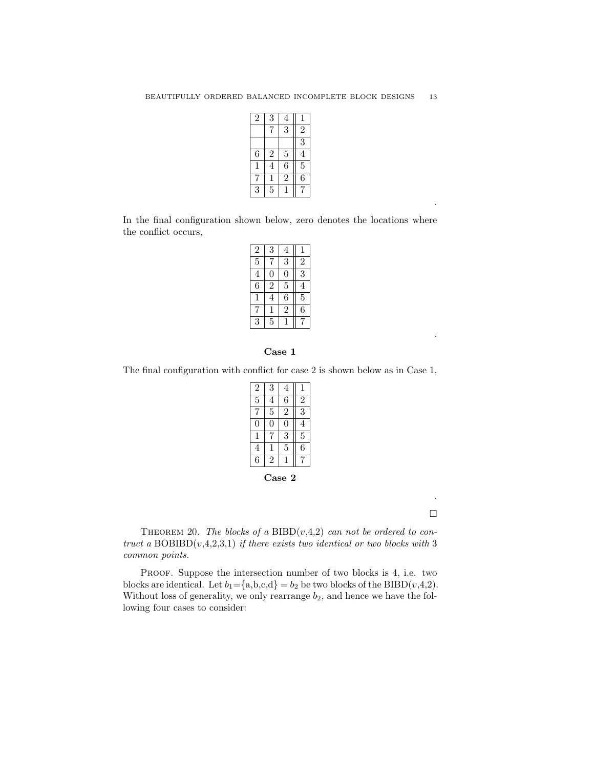| $\overline{2}$ | 3              | 4              |                |
|----------------|----------------|----------------|----------------|
|                |                | $\overline{3}$ | $\overline{2}$ |
|                |                |                | $\overline{3}$ |
| 6              | $\overline{c}$ | $\overline{5}$ | $\overline{4}$ |
| 1              | $\overline{4}$ | $\overline{6}$ | $\overline{5}$ |
|                |                | $\overline{2}$ | $\bar{6}$      |
| $\bar{3}$      | $\overline{5}$ |                |                |

In the final configuration shown below, zero denotes the locations where the conflict occurs,

| $\overline{2}$ | 3              | 4              |                |
|----------------|----------------|----------------|----------------|
| $\overline{5}$ |                | 3              | $\overline{2}$ |
| 4              | 0              | 0              | $\overline{3}$ |
| 6              | $\overline{2}$ | $\overline{5}$ | 4              |
| 1              | 4              | 6              | $\overline{5}$ |
|                | 1              | $\sqrt{2}$     | 6              |
| 3              | 5              |                |                |

# Case 1

The final configuration with conflict for case 2 is shown below as in Case 1,

| $\overline{c}$ | 3 | 4              |                |
|----------------|---|----------------|----------------|
| $\overline{5}$ | 4 | 6              | $\overline{2}$ |
|                | 5 | $\overline{2}$ | 3              |
| 0              | N | 0              | 4              |
| 1              |   | 3              | $\overline{5}$ |
| 4              | 1 | 5              | $\dot{6}$      |
| 6              | 2 |                |                |
|                |   |                |                |

Case 2

.  $\Box$ 

.

.

THEOREM 20. The blocks of a BIBD $(v,4,2)$  can not be ordered to contruct a  $BOBIBD(v,4,2,3,1)$  if there exists two identical or two blocks with 3 common points.

PROOF. Suppose the intersection number of two blocks is 4, i.e. two blocks are identical. Let  $b_1 = \{a,b,c,d\} = b_2$  be two blocks of the BIBD(v,4,2). Without loss of generality, we only rearrange  $b_2$ , and hence we have the following four cases to consider: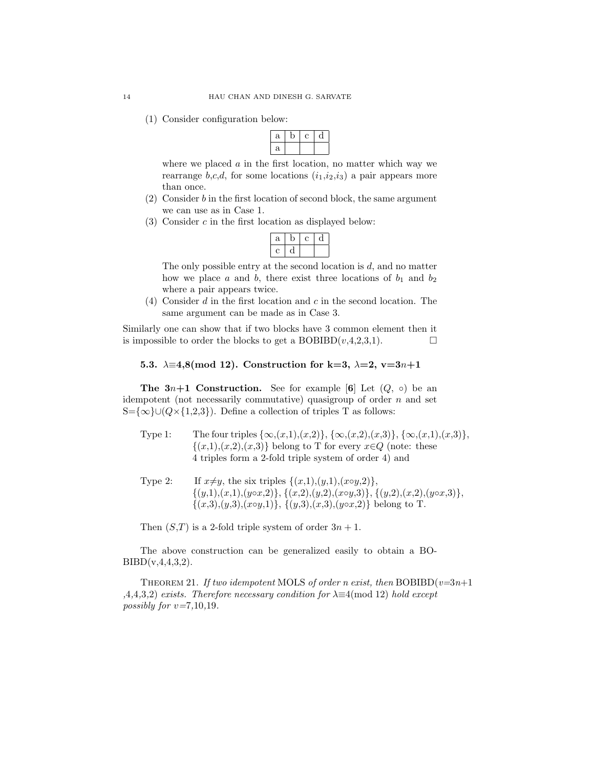(1) Consider configuration below:

| ä |  |  |
|---|--|--|
| ä |  |  |

where we placed  $\alpha$  in the first location, no matter which way we rearrange b,c,d, for some locations  $(i_1,i_2,i_3)$  a pair appears more than once.

- (2) Consider b in the first location of second block, the same argument we can use as in Case 1.
- $(3)$  Consider c in the first location as displayed below:

| а |  |  |
|---|--|--|
|   |  |  |

The only possible entry at the second location is  $d$ , and no matter how we place a and b, there exist three locations of  $b_1$  and  $b_2$ where a pair appears twice.

(4) Consider d in the first location and c in the second location. The same argument can be made as in Case 3.

Similarly one can show that if two blocks have 3 common element then it is impossible to order the blocks to get a BOBIBD $(v, 4, 2, 3, 1)$ .

5.3.  $\lambda \equiv 4,8 \pmod{12}$ . Construction for k=3,  $\lambda = 2$ , v=3n+1

The  $3n+1$  Construction. See for example [6] Let  $(Q, \circ)$  be an idempotent (not necessarily commutative) quasigroup of order  $n$  and set S={∞}∪( $Q\times$ {1,2,3}). Define a collection of triples T as follows:

- Type 1: The four triples  $\{\infty,(x,1),(x,2)\}, \{\infty,(x,2),(x,3)\}, \{\infty,(x,1),(x,3)\},$  $\{(x,1),(x,2),(x,3)\}\$ belong to T for every  $x\in Q$  (note: these 4 triples form a 2-fold triple system of order 4) and
- Type 2: If  $x \neq y$ , the six triples  $\{(x,1),(y,1),(x\circ y,2)\},\$  $\{(y,1),(x,1),(y\circ x,2)\},\{(x,2),(y,2),(x\circ y,3)\},\{(y,2),(x,2),(y\circ x,3)\},\$  $\{(x,3),(y,3),(x\circ y,1)\},\{(y,3),(x,3),(y\circ x,2)\}\$ belong to T.

Then  $(S,T)$  is a 2-fold triple system of order  $3n + 1$ .

The above construction can be generalized easily to obtain a BO- $BIBD(v, 4, 4, 3, 2).$ 

THEOREM 21. If two idempotent MOLS of order n exist, then BOBIBD( $v=3n+1$ ) ,4,4,3,2) exists. Therefore necessary condition for  $\lambda \equiv 4 \pmod{12}$  hold except possibly for  $v=7,10,19$ .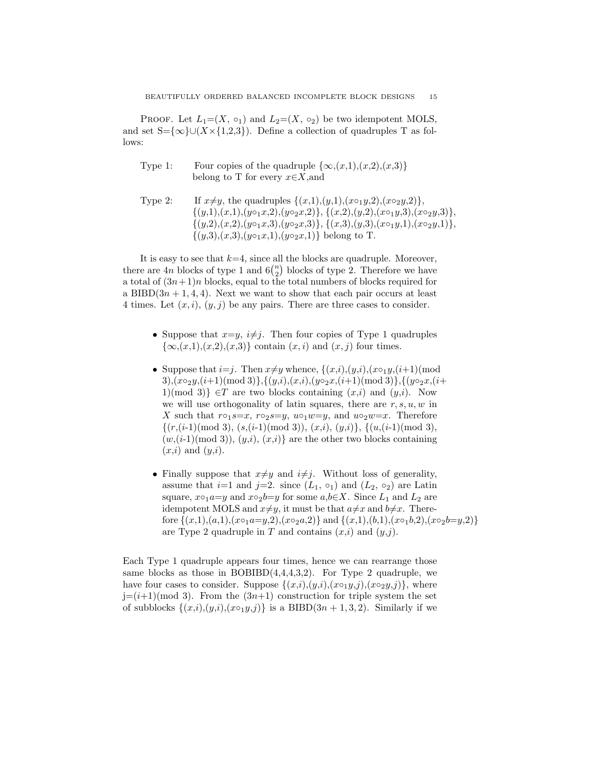PROOF. Let  $L_1=(X, \circ_1)$  and  $L_2=(X, \circ_2)$  be two idempotent MOLS, and set  $S=\{\infty\}\cup (X\times\{1,2,3\})$ . Define a collection of quadruples T as follows:

- Type 1: Four copies of the quadruple  $\{\infty, (x,1), (x,2), (x,3)\}\$ belong to T for every  $x \in X$ , and
- Type 2: If  $x \neq y$ , the quadruples  $\{(x,1),(y,1),(x \circ_1 y,2),(x \circ_2 y,2)\},\$  $\{(y,1),(x,1),(y\circ_1 x,2),(y\circ_2 x,2)\},\{(x,2),(y,2),(x\circ_1 y,3),(x\circ_2 y,3)\},\$  $\{(y,2),(x,2),(y\circ_1 x,3),(y\circ_2 x,3)\},\{(x,3),(y,3),(x\circ_1 y,1),(x\circ_2 y,1)\},\$  $\{(y,3),(x,3),(y\circ_1 x,1),(y\circ_2 x,1)\}\$ belong to T.

It is easy to see that  $k=4$ , since all the blocks are quadruple. Moreover, there are 4n blocks of type 1 and  $6\binom{n}{2}$  blocks of type 2. Therefore we have a total of  $(3n+1)n$  blocks, equal to the total numbers of blocks required for a BIBD $(3n + 1, 4, 4)$ . Next we want to show that each pair occurs at least 4 times. Let  $(x, i)$ ,  $(y, j)$  be any pairs. There are three cases to consider.

- Suppose that  $x=y$ ,  $i\neq j$ . Then four copies of Type 1 quadruples  $\{\infty,(x,1),(x,2),(x,3)\}\)$  contain  $(x, i)$  and  $(x, j)$  four times.
- Suppose that  $i=j$ . Then  $x \neq y$  whence,  $\{(x,i),(y,i),(x \circ_1 y,(i+1))\}$  mod  $3), (x \circ_2 y, (i+1) \pmod{3}, \{(y,i), (x,i), (y \circ_2 x, (i+1) \pmod{3}\}, \{(y \circ_2 x, (i+1) \pmod{3})\}$ 1)(mod 3)}  $\in T$  are two blocks containing  $(x,i)$  and  $(y,i)$ . Now we will use orthogonality of latin squares, there are  $r, s, u, w$  in X such that  $r \circ_1 s = x$ ,  $r \circ_2 s = y$ ,  $u \circ_1 w = y$ , and  $u \circ_2 w = x$ . Therefore  $\{(r,(i-1) \pmod{3}, (s,(i-1) \pmod{3}), (x,i), (y,i)\}, \{(u,(i-1) \pmod{3}),$  $(w,(i-1) \text{ (mod 3)}), (y,i), (x,i)$  are the other two blocks containing  $(x,i)$  and  $(y,i)$ .
- Finally suppose that  $x \neq y$  and  $i \neq j$ . Without loss of generality, assume that  $i=1$  and  $j=2$ . since  $(L_1, o_1)$  and  $(L_2, o_2)$  are Latin square,  $x \circ_1 a=y$  and  $x \circ_2 b=y$  for some  $a,b \in X$ . Since  $L_1$  and  $L_2$  are idempotent MOLS and  $x \neq y$ , it must be that  $a \neq x$  and  $b \neq x$ . Therefore  $\{(x,1),(a,1),(x \circ_1 a=y,2),(x \circ_2 a,2)\}\$  and  $\{(x,1),(b,1),(x \circ_1 b,2),(x \circ_2 b=y,2)\}\$ are Type 2 quadruple in T and contains  $(x,i)$  and  $(y,j)$ .

Each Type 1 quadruple appears four times, hence we can rearrange those same blocks as those in  $BOBIBD(4,4,4,3,2)$ . For Type 2 quadruple, we have four cases to consider. Suppose  $\{(x,i),(y,i),(x\circ_1y,j),(x\circ_2y,j)\}$ , where  $j=(i+1)$ (mod 3). From the  $(3n+1)$  construction for triple system the set of subblocks  $\{(x,i),(y,i),(x\circ_1 y,j)\}\$ is a BIBD $(3n+1,3,2)$ . Similarly if we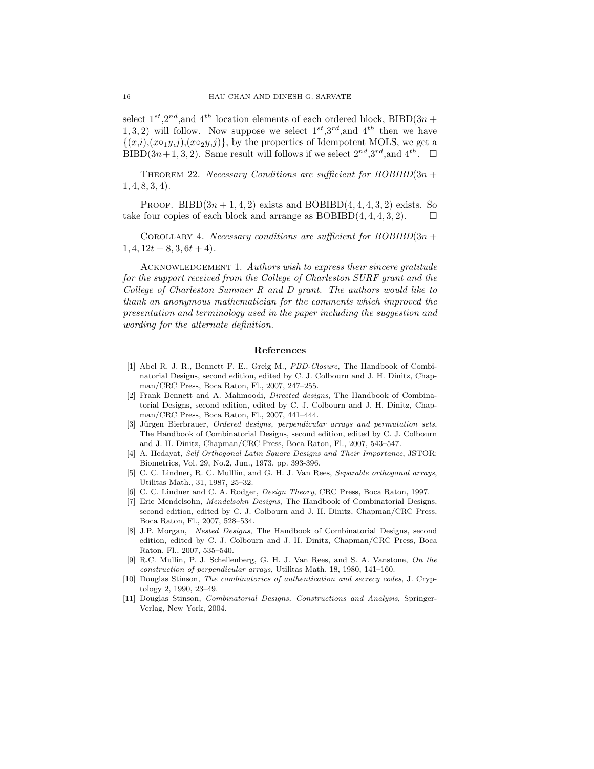select  $1^{st}$ , $2^{nd}$ , and  $4^{th}$  location elements of each ordered block, BIBD(3n + 1, 3, 2) will follow. Now suppose we select  $1^{st}$ ,  $3^{rd}$ , and  $4^{th}$  then we have  $\{(x,i),(x \circ_1 y,j),(x \circ_2 y,j)\}\,$  by the properties of Idempotent MOLS, we get a  $\text{BIBD}(3n+1,3,2)$ . Same result will follows if we select  $2^{nd}$ ,  $3^{rd}$ , and  $4^{th}$ .  $\square$ 

THEOREM 22. Necessary Conditions are sufficient for  $BOBIBD(3n +$  $1, 4, 8, 3, 4$ .

PROOF. BIBD $(3n+1,4,2)$  exists and BOBIBD $(4,4,4,3,2)$  exists. So take four copies of each block and arrange as  $BOBIBD(4, 4, 4, 3, 2)$ .

COROLLARY 4. Necessary conditions are sufficient for  $BOBIBD(3n +$  $1, 4, 12t + 8, 3, 6t + 4$ .

ACKNOWLEDGEMENT 1. Authors wish to express their sincere gratitude for the support received from the College of Charleston SURF grant and the College of Charleston Summer R and D grant. The authors would like to thank an anonymous mathematician for the comments which improved the presentation and terminology used in the paper including the suggestion and wording for the alternate definition.

#### References

- [1] Abel R. J. R., Bennett F. E., Greig M., PBD-Closure, The Handbook of Combinatorial Designs, second edition, edited by C. J. Colbourn and J. H. Dinitz, Chapman/CRC Press, Boca Raton, Fl., 2007, 247–255.
- [2] Frank Bennett and A. Mahmoodi, Directed designs, The Handbook of Combinatorial Designs, second edition, edited by C. J. Colbourn and J. H. Dinitz, Chapman/CRC Press, Boca Raton, Fl., 2007, 441–444.
- [3] Jürgen Bierbrauer, Ordered designs, perpendicular arrays and permutation sets, The Handbook of Combinatorial Designs, second edition, edited by C. J. Colbourn and J. H. Dinitz, Chapman/CRC Press, Boca Raton, Fl., 2007, 543–547.
- [4] A. Hedayat, Self Orthogonal Latin Square Designs and Their Importance, JSTOR: Biometrics, Vol. 29, No.2, Jun., 1973, pp. 393-396.
- [5] C. C. Lindner, R. C. Mulllin, and G. H. J. Van Rees, Separable orthogonal arrays, Utilitas Math., 31, 1987, 25–32.
- [6] C. C. Lindner and C. A. Rodger, Design Theory, CRC Press, Boca Raton, 1997.
- [7] Eric Mendelsohn, Mendelsohn Designs, The Handbook of Combinatorial Designs, second edition, edited by C. J. Colbourn and J. H. Dinitz, Chapman/CRC Press, Boca Raton, Fl., 2007, 528–534.
- [8] J.P. Morgan, Nested Designs, The Handbook of Combinatorial Designs, second edition, edited by C. J. Colbourn and J. H. Dinitz, Chapman/CRC Press, Boca Raton, Fl., 2007, 535–540.
- [9] R.C. Mullin, P. J. Schellenberg, G. H. J. Van Rees, and S. A. Vanstone, On the construction of perpendicular arrays, Utilitas Math. 18, 1980, 141–160.
- [10] Douglas Stinson, The combinatorics of authentication and secrecy codes, J. Cryptology 2, 1990, 23–49.
- [11] Douglas Stinson, Combinatorial Designs, Constructions and Analysis, Springer-Verlag, New York, 2004.